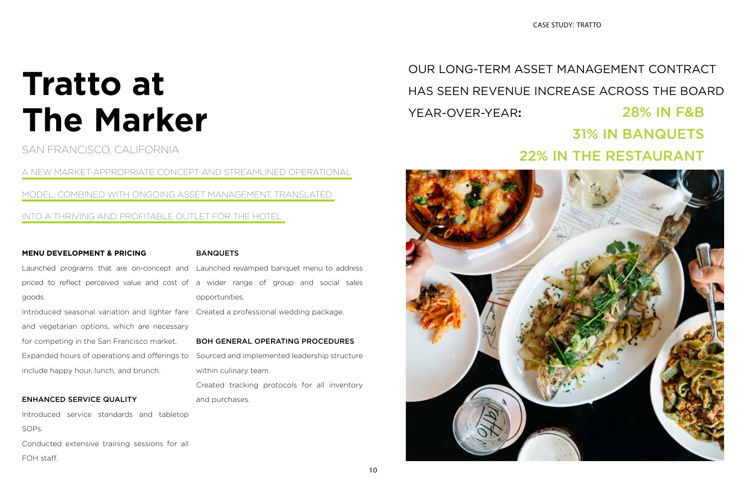# **Tratto at The Marker**

SAN FRANCISCO, CALIFORNIA

A NEW MARKET-APPROPRIATE CONCEPT AND STREAMLINED OPERATIONAL

MODEL, COMBINED WITH ONGOING ASSET MANAGEMENT, TRANSLATED

INTO A THRIVING AND PROFITABLE OUTLET FOR THE HOTEL.

#### **MENU DEVELOPMENT & PRICING**

Launched programs that are on-concept and Launched revamped banquet menu to address priced to reflect perceived value and cost of a wider range of group and social sales goods. Introduced seasonal variation and lighter fare Created a professional wedding package.

and vegetarian options, which are necessary for competing in the San Francisco market. include happy hour, lunch, and brunch.

#### ENHANCED SERVICE QUALITY

Introduced service standards and tabletop SOPs. Conducted extensive training sessions for all

FOH staff.

BANQUETS

Expanded hours of operations and offerings to Sourced and implemented leadership structure within culinary team.

opportunities.

#### BOH GENERAL OPERATING PROCEDURES

Created tracking protocols for all inventory and purchases.

## OUR LONG-TERM ASSET MANAGEMENT CONTRACT HAS SEEN REVENUE INCREASE ACROSS THE BOARD YEAR-OVER-YEAR**:** 28% IN F&B 31% IN BANQUETS 22% IN THE RESTAURANT



CASE STUDY: TRATTO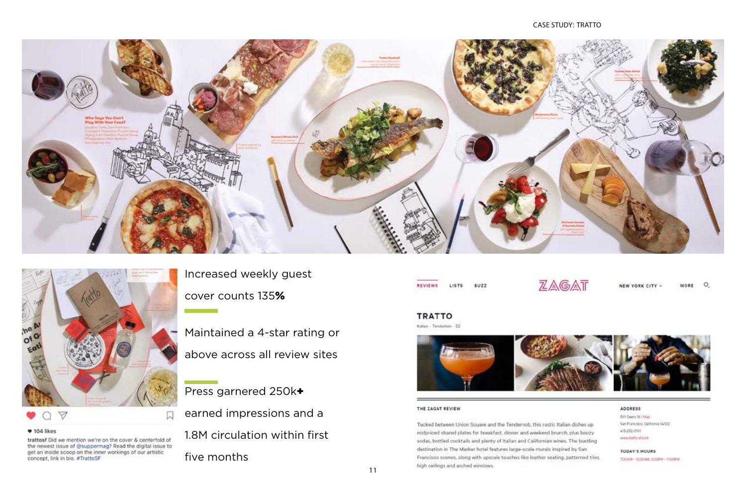



Increased weekly guest cover counts 135%

Maintained a 4-star rating or above across all review sites

Press garnered 250k+ earned impressions and a 1.8M circulation within first five months

**REVIEWS** BUZZ LISTS

#### **TRATTO** Italian - Tenderloin - \$\$



#### THE ZAGAT REVIEW

Tucked between Union Square and the Tendernob, this rustic Italian dishes up midpriced shared plates for breakfast, dinner and weekend brunch, plus boozy sodas, bottled cocktails and plenty of Italian and Californian wines. The bustling destination in The Marker hotel features large-scale murals inspired by San Francisco scenes, along with upscale touches like leather seating, patterned tiles. high ceilings and arched windows.

#### $*104$  likes

trattosf Did we mention we're on the cover & centerfold of the newest issue of @suppermag? Read the digital issue to get an inside scoop on the inner workings of our artistic concept, link in bio. #TrattoSF

#### CASE STUDY: TRATTO



 $\mathsf{Q}$ NEW YORK CITY MORE

#### ADDRESS

501 Geary St | Map San Francisco, California 54102 415-292-0101 www.tratto-st.com

### **TODAY'S HOURS**

700AM - 1030AM, 300PM - 1100PM